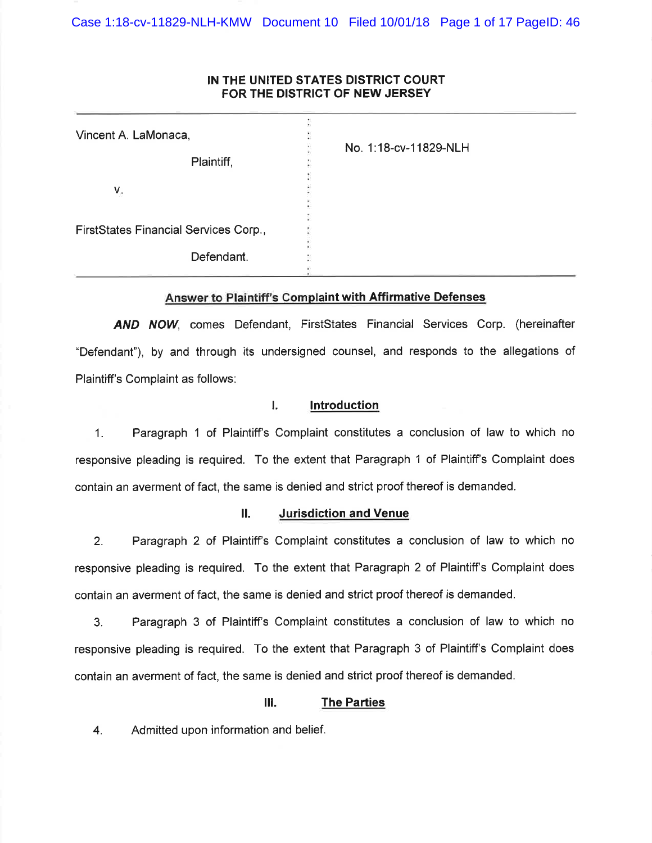Case 1:18-cv-11829-NLH-KMW Document 10 Filed 10/01/18 Page 1 of 17 PageID: 46

## IN THE UNITED STATES DISTRICT COURT FOR THE DISTRICT OF NEW JERSEY

| Vincent A. LaMonaca,                  |                       |
|---------------------------------------|-----------------------|
| Plaintiff,                            | No. 1:18-cv-11829-NLH |
| V.                                    |                       |
| FirstStates Financial Services Corp., |                       |
| Defendant.                            |                       |

## Answer to Plaintiff's Complaint with Affirmative Defenses

AND NOW, comes Defendant, FirstStates Financial Services Corp. (hereinafter "Defendant"), by and through its undersigned counsel, and responds to the allegations of Plaintiff's Complaint as follows:

#### L. **Introduction**

 $1.$ Paragraph 1 of Plaintiff's Complaint constitutes a conclusion of law to which no responsive pleading is required. To the extent that Paragraph 1 of Plaintiff's Complaint does contain an averment of fact, the same is denied and strict proof thereof is demanded.

#### **Jurisdiction and Venue** П.

 $2.$ Paragraph 2 of Plaintiff's Complaint constitutes a conclusion of law to which no responsive pleading is required. To the extent that Paragraph 2 of Plaintiff's Complaint does contain an averment of fact, the same is denied and strict proof thereof is demanded.

Paragraph 3 of Plaintiff's Complaint constitutes a conclusion of law to which no  $3<sub>1</sub>$ responsive pleading is required. To the extent that Paragraph 3 of Plaintiff's Complaint does contain an averment of fact, the same is denied and strict proof thereof is demanded.

#### Ш. **The Parties**

Admitted upon information and belief. 4.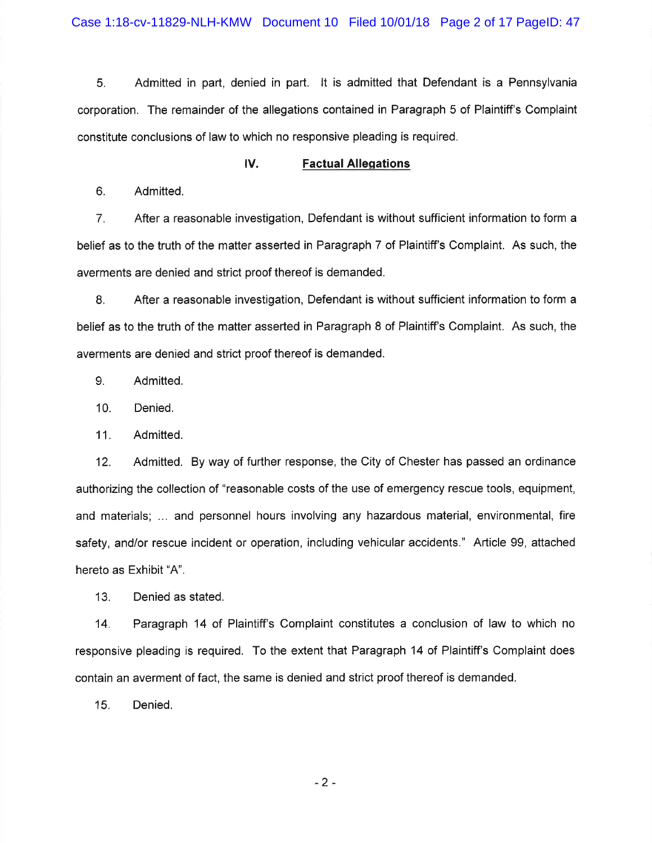5. Admitted in part, denied in part. It is admitted that Defendant is a Pennsylvania corporation. The remainder of the allegations contained in Paragraph 5 of Plaintiff's Complaint constitute conclusions of law to which no responsive pleading is required.

#### IV. **Factual Allegations**

6. Admitted.

7. After a reasonable investigation, Defendant is without sufficient information to form a belief as to the truth of the matter asserted in Paragraph 7 of Plaintiff's Complaint. As such, the averments are denied and strict proof thereof is demanded.

8. After a reasonable investigation, Defendant is without sufficient information to form a belief as to the truth of the matter asserted in Paragraph 8 of Plaintiff's Complaint. As such, the averments are denied and strict proof thereof is demanded.

9. Admitted.

Denied. 10.

 $11.$ Admitted.

Admitted. By way of further response, the City of Chester has passed an ordinance  $12.$ authorizing the collection of "reasonable costs of the use of emergency rescue tools, equipment, and materials; ... and personnel hours involving any hazardous material, environmental, fire safety, and/or rescue incident or operation, including vehicular accidents." Article 99, attached hereto as Exhibit "A".

 $13.$ Denied as stated.

Paragraph 14 of Plaintiff's Complaint constitutes a conclusion of law to which no  $14.$ responsive pleading is required. To the extent that Paragraph 14 of Plaintiff's Complaint does contain an averment of fact, the same is denied and strict proof thereof is demanded.

 $15.$ Denied.

 $-2+$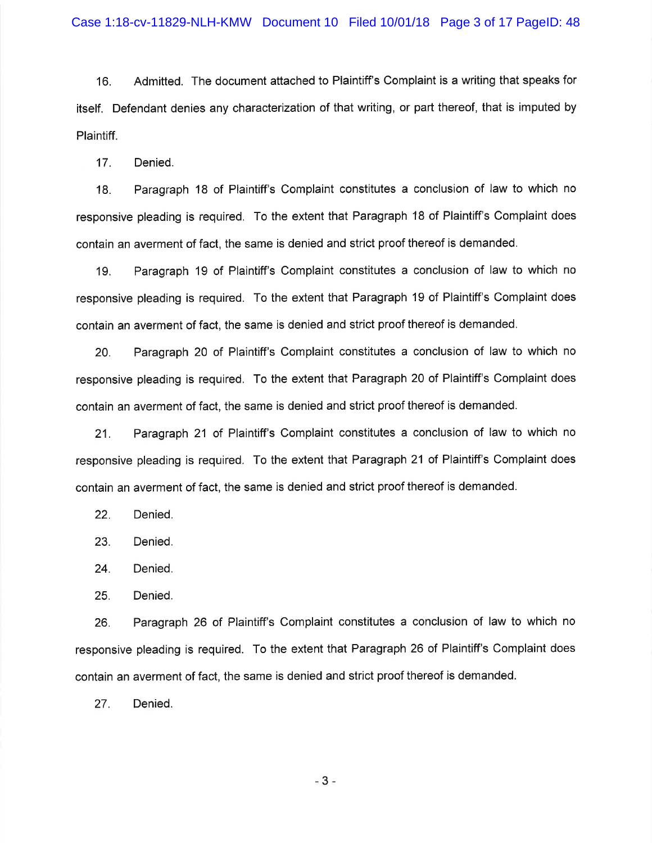Admitted. The document attached to Plaintiff's Complaint is a writing that speaks for 16. itself. Defendant denies any characterization of that writing, or part thereof, that is imputed by Plaintiff.

 $17.$ Denied.

Paragraph 18 of Plaintiff's Complaint constitutes a conclusion of law to which no 18. responsive pleading is required. To the extent that Paragraph 18 of Plaintiff's Complaint does contain an averment of fact, the same is denied and strict proof thereof is demanded.

Paragraph 19 of Plaintiff's Complaint constitutes a conclusion of law to which no 19. responsive pleading is required. To the extent that Paragraph 19 of Plaintiff's Complaint does contain an averment of fact, the same is denied and strict proof thereof is demanded.

Paragraph 20 of Plaintiff's Complaint constitutes a conclusion of law to which no 20. responsive pleading is required. To the extent that Paragraph 20 of Plaintiff's Complaint does contain an averment of fact, the same is denied and strict proof thereof is demanded.

Paragraph 21 of Plaintiff's Complaint constitutes a conclusion of law to which no  $21.$ responsive pleading is required. To the extent that Paragraph 21 of Plaintiff's Complaint does contain an averment of fact, the same is denied and strict proof thereof is demanded.

 $22.$ Denied.

23. Denied.

Denied. 24.

 $25.$ Denied.

Paragraph 26 of Plaintiff's Complaint constitutes a conclusion of law to which no 26. responsive pleading is required. To the extent that Paragraph 26 of Plaintiff's Complaint does contain an averment of fact, the same is denied and strict proof thereof is demanded.

27. Denied.

 $-3-$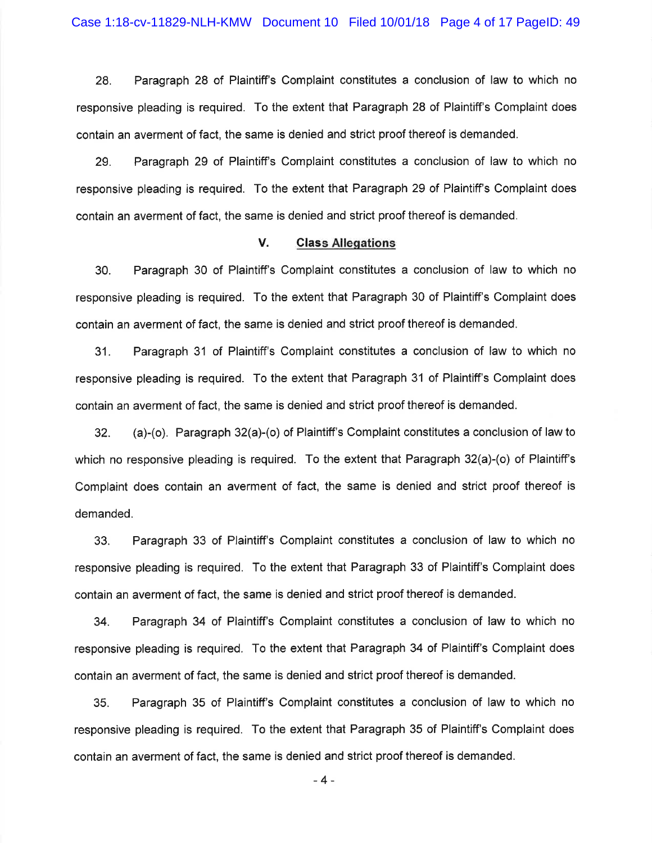28. Paragraph 28 of Plaintiff's Complaint constitutes a conclusion of law to which no responsive pleading is required. To the extent that Paragraph 28 of Plaintiff's Complaint does contain an averment of fact, the same is denied and strict proof thereof is demanded.

Paragraph 29 of Plaintiff's Complaint constitutes a conclusion of law to which no 29. responsive pleading is required. To the extent that Paragraph 29 of Plaintiff's Complaint does contain an averment of fact, the same is denied and strict proof thereof is demanded.

#### V. **Class Allegations**

Paragraph 30 of Plaintiff's Complaint constitutes a conclusion of law to which no 30. responsive pleading is required. To the extent that Paragraph 30 of Plaintiff's Complaint does contain an averment of fact, the same is denied and strict proof thereof is demanded.

Paragraph 31 of Plaintiff's Complaint constitutes a conclusion of law to which no  $31.$ responsive pleading is required. To the extent that Paragraph 31 of Plaintiff's Complaint does contain an averment of fact, the same is denied and strict proof thereof is demanded.

32. (a)-(o). Paragraph  $32(a)$ -(o) of Plaintiff's Complaint constitutes a conclusion of law to which no responsive pleading is required. To the extent that Paragraph 32(a)-(o) of Plaintiff's Complaint does contain an averment of fact, the same is denied and strict proof thereof is demanded.

 $33.$ Paragraph 33 of Plaintiff's Complaint constitutes a conclusion of law to which no responsive pleading is required. To the extent that Paragraph 33 of Plaintiff's Complaint does contain an averment of fact, the same is denied and strict proof thereof is demanded.

Paragraph 34 of Plaintiff's Complaint constitutes a conclusion of law to which no 34. responsive pleading is required. To the extent that Paragraph 34 of Plaintiff's Complaint does contain an averment of fact, the same is denied and strict proof thereof is demanded.

Paragraph 35 of Plaintiff's Complaint constitutes a conclusion of law to which no 35. responsive pleading is required. To the extent that Paragraph 35 of Plaintiff's Complaint does contain an averment of fact, the same is denied and strict proof thereof is demanded.

 $-4-$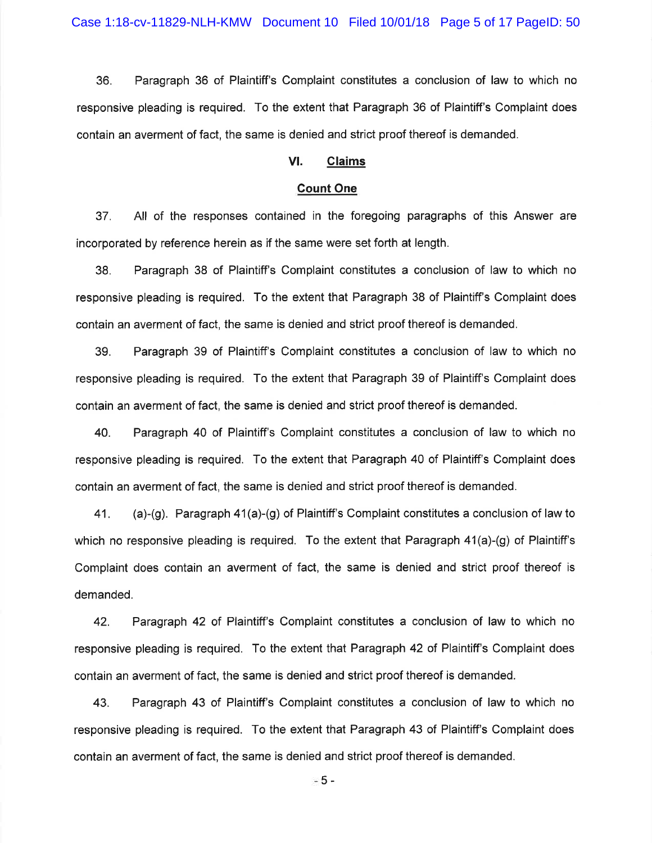36. Paragraph 36 of Plaintiff's Complaint constitutes a conclusion of law to which no responsive pleading is required. To the extent that Paragraph 36 of Plaintiff's Complaint does contain an averment of fact, the same is denied and strict proof thereof is demanded.

#### VI. **Claims**

#### **Count One**

37. All of the responses contained in the foregoing paragraphs of this Answer are incorporated by reference herein as if the same were set forth at length.

Paragraph 38 of Plaintiff's Complaint constitutes a conclusion of law to which no 38. responsive pleading is required. To the extent that Paragraph 38 of Plaintiff's Complaint does contain an averment of fact, the same is denied and strict proof thereof is demanded.

39. Paragraph 39 of Plaintiff's Complaint constitutes a conclusion of law to which no responsive pleading is required. To the extent that Paragraph 39 of Plaintiff's Complaint does contain an averment of fact, the same is denied and strict proof thereof is demanded.

40. Paragraph 40 of Plaintiff's Complaint constitutes a conclusion of law to which no responsive pleading is required. To the extent that Paragraph 40 of Plaintiff's Complaint does contain an averment of fact, the same is denied and strict proof thereof is demanded.

(a)-(g). Paragraph  $41(a)$ -(g) of Plaintiff's Complaint constitutes a conclusion of law to 41. which no responsive pleading is required. To the extent that Paragraph  $41(a)-(g)$  of Plaintiff's Complaint does contain an averment of fact, the same is denied and strict proof thereof is demanded.

42. Paragraph 42 of Plaintiff's Complaint constitutes a conclusion of law to which no responsive pleading is required. To the extent that Paragraph 42 of Plaintiff's Complaint does contain an averment of fact, the same is denied and strict proof thereof is demanded.

43. Paragraph 43 of Plaintiff's Complaint constitutes a conclusion of law to which no responsive pleading is required. To the extent that Paragraph 43 of Plaintiff's Complaint does contain an averment of fact, the same is denied and strict proof thereof is demanded.

- 5 -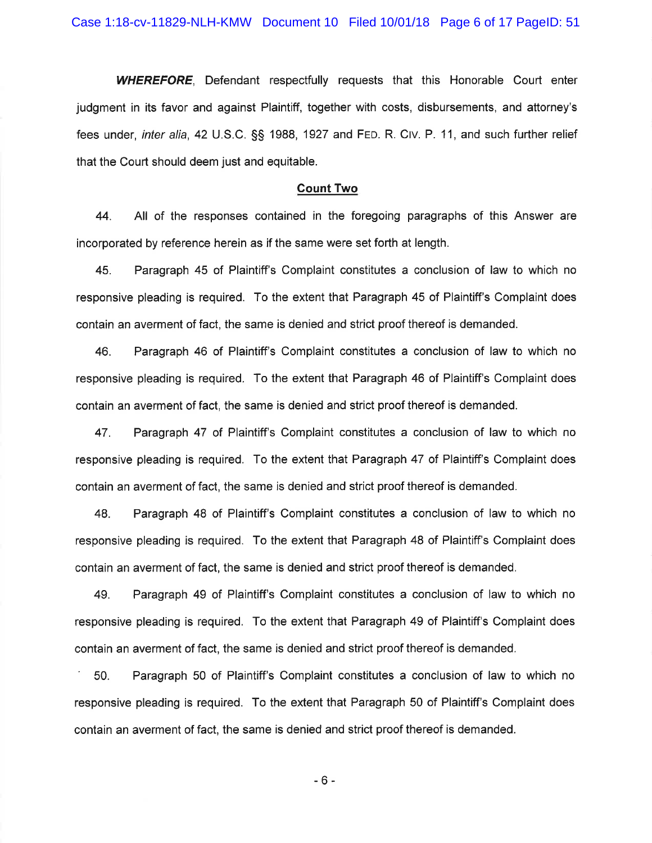**WHEREFORE,** Defendant respectfully requests that this Honorable Court enter judgment in its favor and against Plaintiff, together with costs, disbursements, and attorney's fees under, inter alia, 42 U.S.C. §§ 1988, 1927 and FED. R. CIV. P. 11, and such further relief that the Court should deem just and equitable.

#### **Count Two**

44. All of the responses contained in the foregoing paragraphs of this Answer are incorporated by reference herein as if the same were set forth at length.

Paragraph 45 of Plaintiff's Complaint constitutes a conclusion of law to which no 45. responsive pleading is required. To the extent that Paragraph 45 of Plaintiff's Complaint does contain an averment of fact, the same is denied and strict proof thereof is demanded.

46. Paragraph 46 of Plaintiff's Complaint constitutes a conclusion of law to which no responsive pleading is required. To the extent that Paragraph 46 of Plaintiff's Complaint does contain an averment of fact, the same is denied and strict proof thereof is demanded.

47. Paragraph 47 of Plaintiff's Complaint constitutes a conclusion of law to which no responsive pleading is required. To the extent that Paragraph 47 of Plaintiff's Complaint does contain an averment of fact, the same is denied and strict proof thereof is demanded.

Paragraph 48 of Plaintiff's Complaint constitutes a conclusion of law to which no 48. responsive pleading is required. To the extent that Paragraph 48 of Plaintiff's Complaint does contain an averment of fact, the same is denied and strict proof thereof is demanded.

49. Paragraph 49 of Plaintiff's Complaint constitutes a conclusion of law to which no responsive pleading is required. To the extent that Paragraph 49 of Plaintiff's Complaint does contain an averment of fact, the same is denied and strict proof thereof is demanded.

Paragraph 50 of Plaintiff's Complaint constitutes a conclusion of law to which no 50. responsive pleading is required. To the extent that Paragraph 50 of Plaintiff's Complaint does contain an averment of fact, the same is denied and strict proof thereof is demanded.

 $-6-$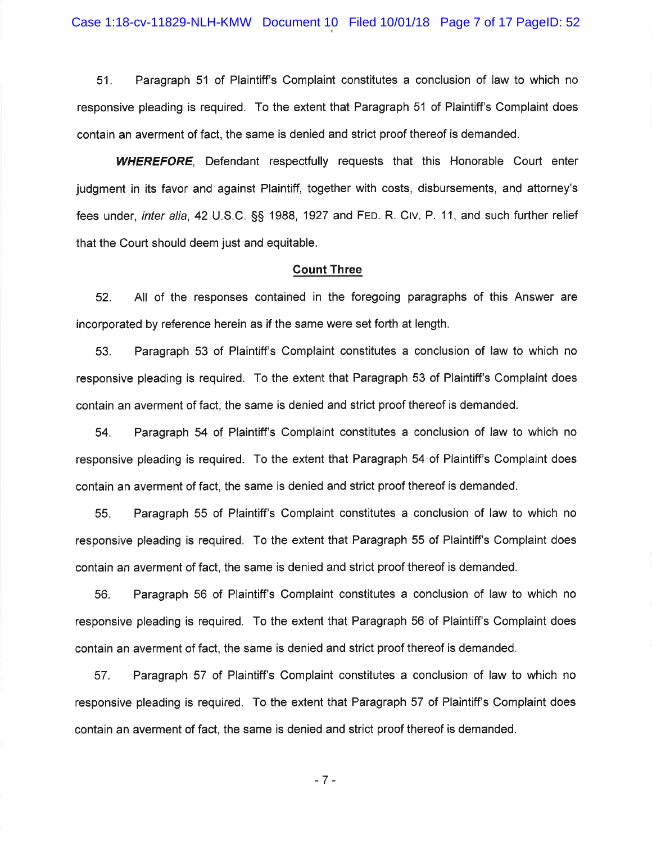$51.$ Paragraph 51 of Plaintiff's Complaint constitutes a conclusion of law to which no responsive pleading is required. To the extent that Paragraph 51 of Plaintiff's Complaint does contain an averment of fact, the same is denied and strict proof thereof is demanded.

**WHEREFORE.** Defendant respectfully requests that this Honorable Court enter judgment in its favor and against Plaintiff, together with costs, disbursements, and attorney's fees under, *inter alia*, 42 U.S.C. §§ 1988, 1927 and FED. R. CIV. P. 11, and such further relief that the Court should deem just and equitable.

#### **Count Three**

52. All of the responses contained in the foregoing paragraphs of this Answer are incorporated by reference herein as if the same were set forth at length.

Paragraph 53 of Plaintiff's Complaint constitutes a conclusion of law to which no 53. responsive pleading is required. To the extent that Paragraph 53 of Plaintiff's Complaint does contain an averment of fact, the same is denied and strict proof thereof is demanded.

54. Paragraph 54 of Plaintiff's Complaint constitutes a conclusion of law to which no responsive pleading is required. To the extent that Paragraph 54 of Plaintiff's Complaint does contain an averment of fact, the same is denied and strict proof thereof is demanded.

Paragraph 55 of Plaintiff's Complaint constitutes a conclusion of law to which no 55. responsive pleading is required. To the extent that Paragraph 55 of Plaintiff's Complaint does contain an averment of fact, the same is denied and strict proof thereof is demanded.

Paragraph 56 of Plaintiff's Complaint constitutes a conclusion of law to which no 56. responsive pleading is required. To the extent that Paragraph 56 of Plaintiff's Complaint does contain an averment of fact, the same is denied and strict proof thereof is demanded.

57. Paragraph 57 of Plaintiff's Complaint constitutes a conclusion of law to which no responsive pleading is required. To the extent that Paragraph 57 of Plaintiff's Complaint does contain an averment of fact, the same is denied and strict proof thereof is demanded.

 $-7-$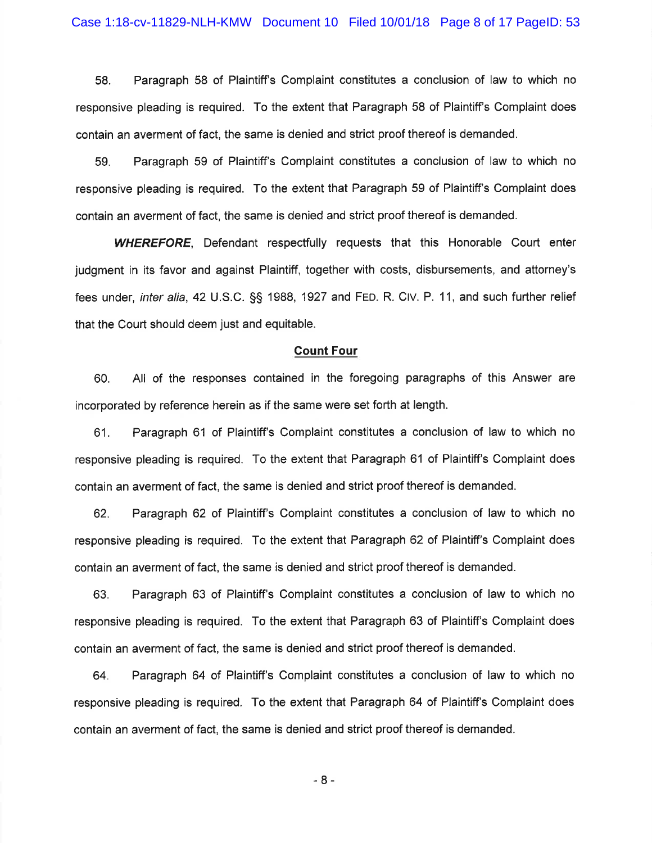58. Paragraph 58 of Plaintiff's Complaint constitutes a conclusion of law to which no responsive pleading is required. To the extent that Paragraph 58 of Plaintiff's Complaint does contain an averment of fact, the same is denied and strict proof thereof is demanded.

Paragraph 59 of Plaintiff's Complaint constitutes a conclusion of law to which no 59. responsive pleading is required. To the extent that Paragraph 59 of Plaintiff's Complaint does contain an averment of fact, the same is denied and strict proof thereof is demanded.

**WHEREFORE.** Defendant respectfully requests that this Honorable Court enter judgment in its favor and against Plaintiff, together with costs, disbursements, and attorney's fees under, inter alia, 42 U.S.C. §§ 1988, 1927 and FED. R. CIV. P. 11, and such further relief that the Court should deem just and equitable.

#### **Count Four**

All of the responses contained in the foregoing paragraphs of this Answer are 60. incorporated by reference herein as if the same were set forth at length.

Paragraph 61 of Plaintiff's Complaint constitutes a conclusion of law to which no 61. responsive pleading is required. To the extent that Paragraph 61 of Plaintiff's Complaint does contain an averment of fact, the same is denied and strict proof thereof is demanded.

Paragraph 62 of Plaintiff's Complaint constitutes a conclusion of law to which no 62. responsive pleading is required. To the extent that Paragraph 62 of Plaintiff's Complaint does contain an averment of fact, the same is denied and strict proof thereof is demanded.

Paragraph 63 of Plaintiff's Complaint constitutes a conclusion of law to which no 63. responsive pleading is required. To the extent that Paragraph 63 of Plaintiff's Complaint does contain an averment of fact, the same is denied and strict proof thereof is demanded.

Paragraph 64 of Plaintiff's Complaint constitutes a conclusion of law to which no 64. responsive pleading is required. To the extent that Paragraph 64 of Plaintiff's Complaint does contain an averment of fact, the same is denied and strict proof thereof is demanded.

 $-8-$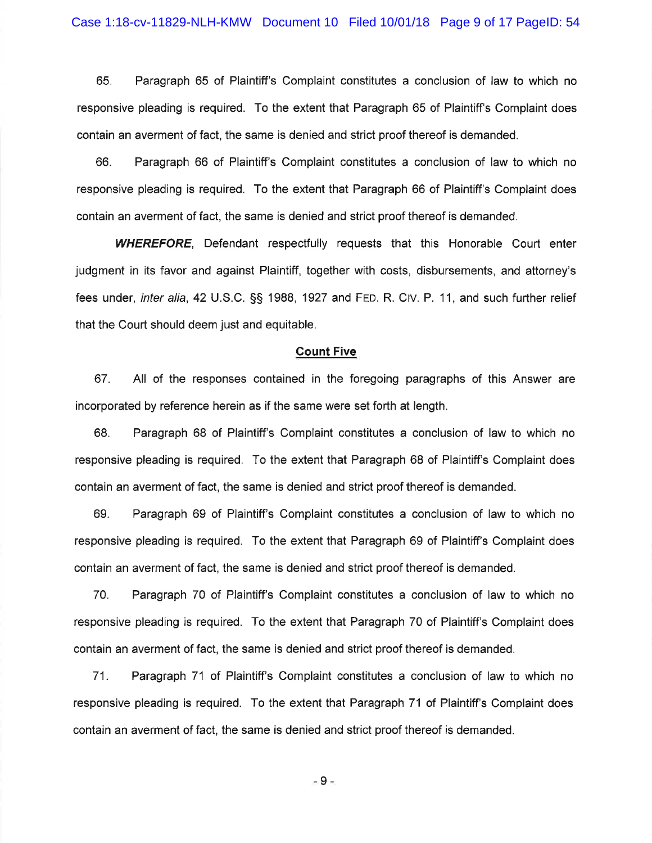65. Paragraph 65 of Plaintiff's Complaint constitutes a conclusion of law to which no responsive pleading is required. To the extent that Paragraph 65 of Plaintiff's Complaint does contain an averment of fact, the same is denied and strict proof thereof is demanded.

66. Paragraph 66 of Plaintiff's Complaint constitutes a conclusion of law to which no responsive pleading is required. To the extent that Paragraph 66 of Plaintiff's Complaint does contain an averment of fact, the same is denied and strict proof thereof is demanded.

**WHEREFORE**, Defendant respectfully requests that this Honorable Court enter judgment in its favor and against Plaintiff, together with costs, disbursements, and attornev's fees under, *inter alia*, 42 U.S.C. §§ 1988, 1927 and FED. R. CIV. P. 11, and such further relief that the Court should deem just and equitable.

#### **Count Five**

67. All of the responses contained in the foregoing paragraphs of this Answer are incorporated by reference herein as if the same were set forth at length.

68. Paragraph 68 of Plaintiff's Complaint constitutes a conclusion of law to which no responsive pleading is required. To the extent that Paragraph 68 of Plaintiff's Complaint does contain an averment of fact, the same is denied and strict proof thereof is demanded.

Paragraph 69 of Plaintiff's Complaint constitutes a conclusion of law to which no 69. responsive pleading is required. To the extent that Paragraph 69 of Plaintiff's Complaint does contain an averment of fact, the same is denied and strict proof thereof is demanded.

70. Paragraph 70 of Plaintiff's Complaint constitutes a conclusion of law to which no responsive pleading is required. To the extent that Paragraph 70 of Plaintiff's Complaint does contain an averment of fact, the same is denied and strict proof thereof is demanded.

 $71.$ Paragraph 71 of Plaintiff's Complaint constitutes a conclusion of law to which no responsive pleading is required. To the extent that Paragraph 71 of Plaintiff's Complaint does contain an averment of fact, the same is denied and strict proof thereof is demanded.

 $-9-$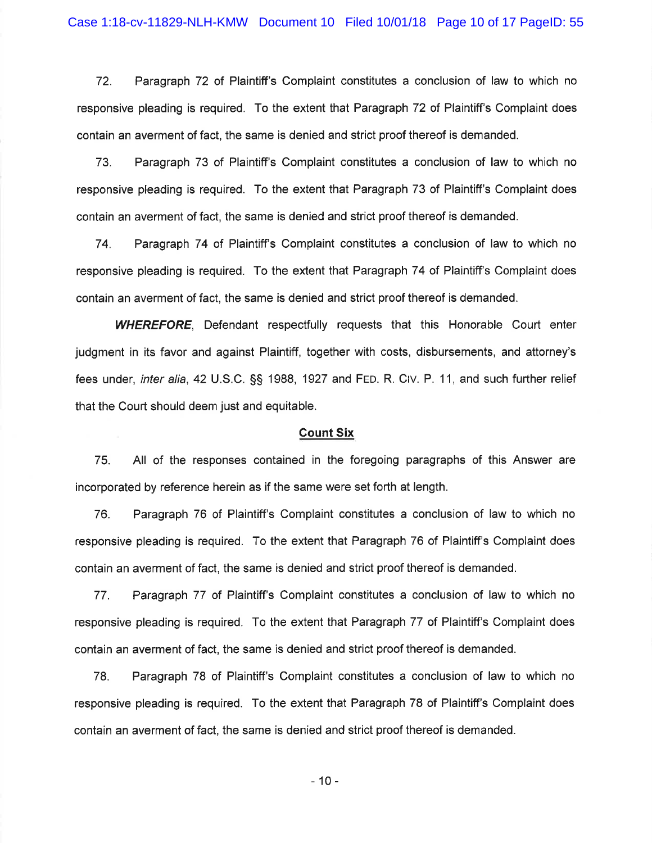72. Paragraph 72 of Plaintiff's Complaint constitutes a conclusion of law to which no responsive pleading is required. To the extent that Paragraph 72 of Plaintiff's Complaint does contain an averment of fact, the same is denied and strict proof thereof is demanded.

Paragraph 73 of Plaintiff's Complaint constitutes a conclusion of law to which no 73. responsive pleading is required. To the extent that Paragraph 73 of Plaintiff's Complaint does contain an averment of fact, the same is denied and strict proof thereof is demanded.

74. Paragraph 74 of Plaintiff's Complaint constitutes a conclusion of law to which no responsive pleading is required. To the extent that Paragraph 74 of Plaintiff's Complaint does contain an averment of fact, the same is denied and strict proof thereof is demanded.

**WHEREFORE.** Defendant respectfully requests that this Honorable Court enter judgment in its favor and against Plaintiff, together with costs, disbursements, and attorney's fees under, *inter alia*, 42 U.S.C. §§ 1988, 1927 and FED. R. CIV. P. 11, and such further relief that the Court should deem just and equitable.

### **Count Six**

All of the responses contained in the foregoing paragraphs of this Answer are 75. incorporated by reference herein as if the same were set forth at length.

76. Paragraph 76 of Plaintiff's Complaint constitutes a conclusion of law to which no responsive pleading is required. To the extent that Paragraph 76 of Plaintiff's Complaint does contain an averment of fact, the same is denied and strict proof thereof is demanded.

Paragraph 77 of Plaintiff's Complaint constitutes a conclusion of law to which no 77. responsive pleading is required. To the extent that Paragraph 77 of Plaintiff's Complaint does contain an averment of fact, the same is denied and strict proof thereof is demanded.

Paragraph 78 of Plaintiff's Complaint constitutes a conclusion of law to which no 78. responsive pleading is required. To the extent that Paragraph 78 of Plaintiff's Complaint does contain an averment of fact, the same is denied and strict proof thereof is demanded.

 $-10-$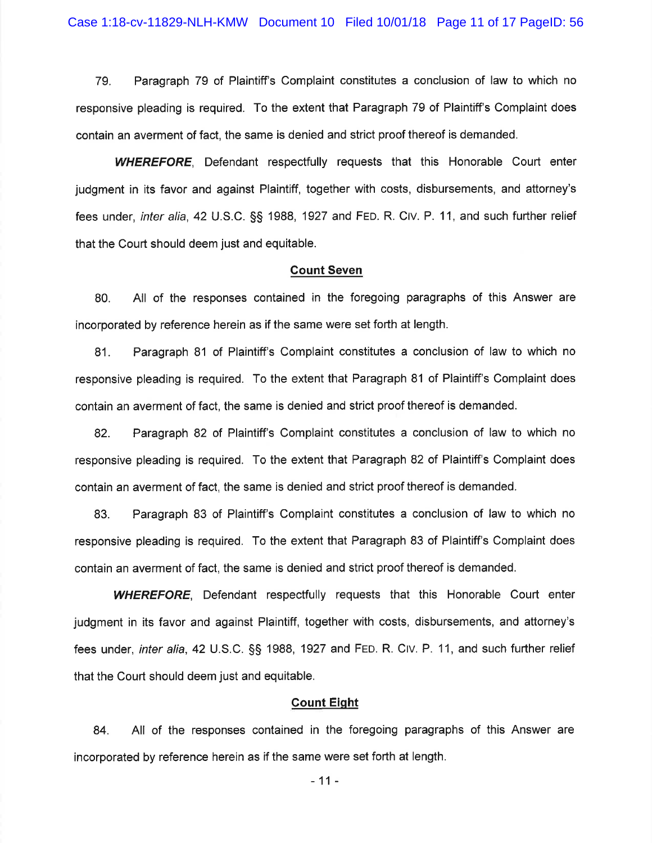79. Paragraph 79 of Plaintiff's Complaint constitutes a conclusion of law to which no responsive pleading is required. To the extent that Paragraph 79 of Plaintiff's Complaint does contain an averment of fact, the same is denied and strict proof thereof is demanded.

**WHEREFORE.** Defendant respectfully requests that this Honorable Court enter judgment in its favor and against Plaintiff, together with costs, disbursements, and attorney's fees under, *inter alia*, 42 U.S.C. §§ 1988, 1927 and FED. R. CIV. P. 11, and such further relief that the Court should deem just and equitable.

#### **Count Seven**

All of the responses contained in the foregoing paragraphs of this Answer are 80. incorporated by reference herein as if the same were set forth at length.

Paragraph 81 of Plaintiff's Complaint constitutes a conclusion of law to which no 81. responsive pleading is required. To the extent that Paragraph 81 of Plaintiff's Complaint does contain an averment of fact, the same is denied and strict proof thereof is demanded.

Paragraph 82 of Plaintiff's Complaint constitutes a conclusion of law to which no 82. responsive pleading is required. To the extent that Paragraph 82 of Plaintiff's Complaint does contain an averment of fact, the same is denied and strict proof thereof is demanded.

Paragraph 83 of Plaintiff's Complaint constitutes a conclusion of law to which no 83. responsive pleading is required. To the extent that Paragraph 83 of Plaintiff's Complaint does contain an averment of fact, the same is denied and strict proof thereof is demanded.

**WHEREFORE.** Defendant respectfully requests that this Honorable Court enter judgment in its favor and against Plaintiff, together with costs, disbursements, and attorney's fees under, *inter alia*, 42 U.S.C. §§ 1988, 1927 and FED. R. CIV. P. 11, and such further relief that the Court should deem just and equitable.

## **Count Eight**

84. All of the responses contained in the foregoing paragraphs of this Answer are incorporated by reference herein as if the same were set forth at length.

 $-11-$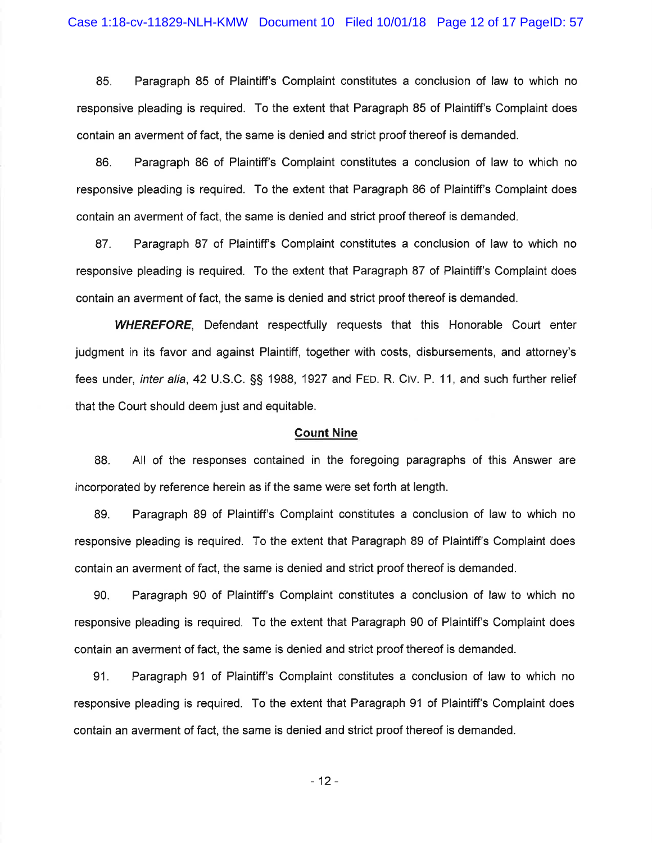85. Paragraph 85 of Plaintiff's Complaint constitutes a conclusion of law to which no responsive pleading is required. To the extent that Paragraph 85 of Plaintiff's Complaint does contain an averment of fact, the same is denied and strict proof thereof is demanded.

Paragraph 86 of Plaintiff's Complaint constitutes a conclusion of law to which no 86. responsive pleading is required. To the extent that Paragraph 86 of Plaintiff's Complaint does contain an averment of fact, the same is denied and strict proof thereof is demanded.

87. Paragraph 87 of Plaintiff's Complaint constitutes a conclusion of law to which no responsive pleading is required. To the extent that Paragraph 87 of Plaintiff's Complaint does contain an averment of fact, the same is denied and strict proof thereof is demanded.

**WHEREFORE.** Defendant respectfully requests that this Honorable Court enter judgment in its favor and against Plaintiff, together with costs, disbursements, and attorney's fees under, *inter alia*, 42 U.S.C. §§ 1988, 1927 and FED. R. CIV. P. 11, and such further relief that the Court should deem just and equitable.

#### **Count Nine**

All of the responses contained in the foregoing paragraphs of this Answer are 88. incorporated by reference herein as if the same were set forth at length.

89. Paragraph 89 of Plaintiff's Complaint constitutes a conclusion of law to which no responsive pleading is required. To the extent that Paragraph 89 of Plaintiff's Complaint does contain an averment of fact, the same is denied and strict proof thereof is demanded.

Paragraph 90 of Plaintiff's Complaint constitutes a conclusion of law to which no 90. responsive pleading is required. To the extent that Paragraph 90 of Plaintiff's Complaint does contain an averment of fact, the same is denied and strict proof thereof is demanded.

Paragraph 91 of Plaintiff's Complaint constitutes a conclusion of law to which no 91. responsive pleading is required. To the extent that Paragraph 91 of Plaintiff's Complaint does contain an averment of fact, the same is denied and strict proof thereof is demanded.

 $-12-$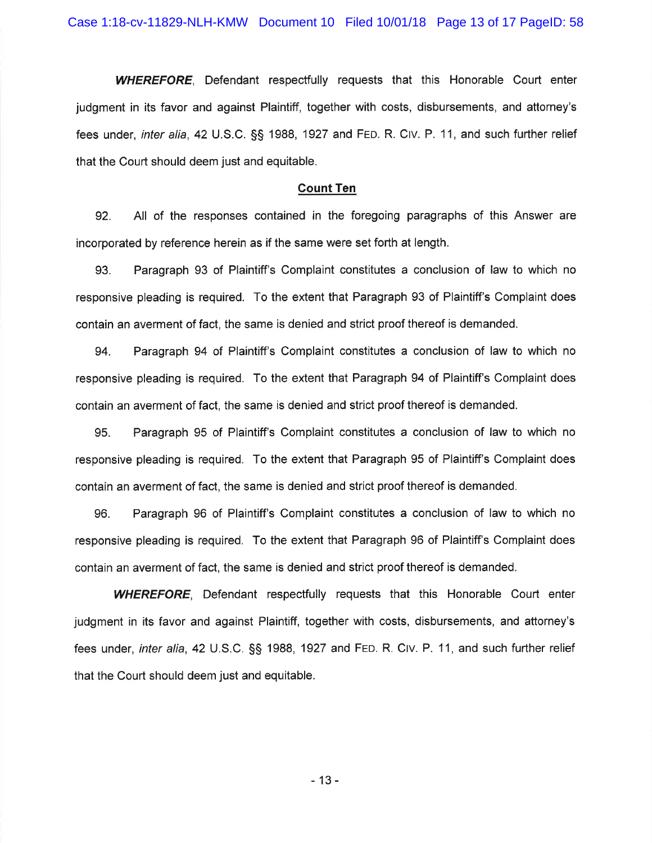**WHEREFORE,** Defendant respectfully requests that this Honorable Court enter judgment in its favor and against Plaintiff, together with costs, disbursements, and attorney's fees under, inter alia, 42 U.S.C. §§ 1988, 1927 and FED. R. CIV. P. 11, and such further relief that the Court should deem just and equitable.

#### **Count Ten**

92. All of the responses contained in the foregoing paragraphs of this Answer are incorporated by reference herein as if the same were set forth at length.

Paragraph 93 of Plaintiff's Complaint constitutes a conclusion of law to which no 93. responsive pleading is required. To the extent that Paragraph 93 of Plaintiff's Complaint does contain an averment of fact, the same is denied and strict proof thereof is demanded.

94. Paragraph 94 of Plaintiff's Complaint constitutes a conclusion of law to which no responsive pleading is required. To the extent that Paragraph 94 of Plaintiff's Complaint does contain an averment of fact, the same is denied and strict proof thereof is demanded.

95. Paragraph 95 of Plaintiff's Complaint constitutes a conclusion of law to which no responsive pleading is required. To the extent that Paragraph 95 of Plaintiff's Complaint does contain an averment of fact, the same is denied and strict proof thereof is demanded.

Paragraph 96 of Plaintiff's Complaint constitutes a conclusion of law to which no 96. responsive pleading is required. To the extent that Paragraph 96 of Plaintiff's Complaint does contain an averment of fact, the same is denied and strict proof thereof is demanded.

**WHEREFORE**, Defendant respectfully requests that this Honorable Court enter judgment in its favor and against Plaintiff, together with costs, disbursements, and attorney's fees under, *inter alia*, 42 U.S.C. §§ 1988, 1927 and FED. R. CIV. P. 11, and such further relief that the Court should deem just and equitable.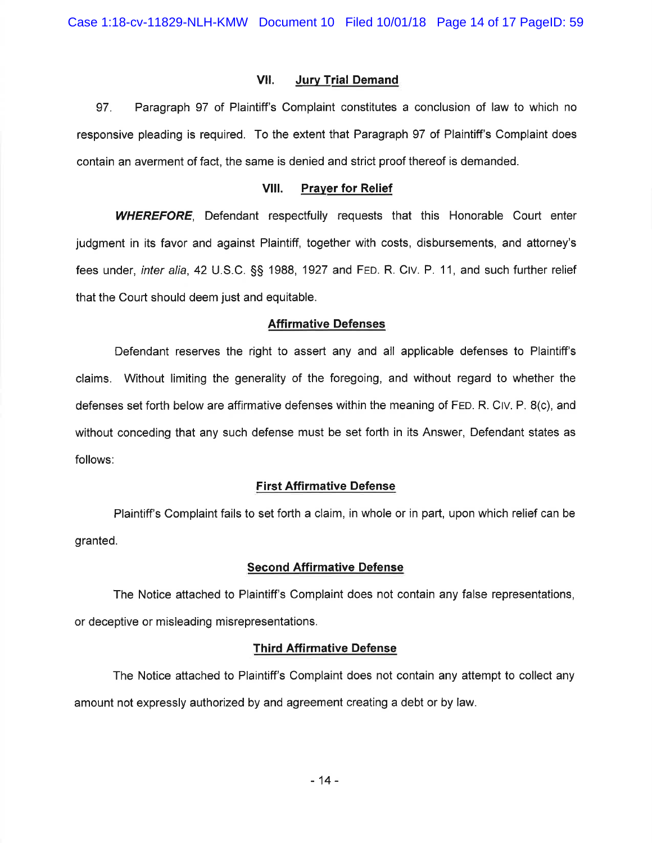#### VII. **Jury Trial Demand**

Paragraph 97 of Plaintiff's Complaint constitutes a conclusion of law to which no 97. responsive pleading is required. To the extent that Paragraph 97 of Plaintiff's Complaint does contain an averment of fact, the same is denied and strict proof thereof is demanded.

#### VIII. **Prayer for Relief**

**WHEREFORE,** Defendant respectfully requests that this Honorable Court enter judgment in its favor and against Plaintiff, together with costs, disbursements, and attorney's fees under, inter alia, 42 U.S.C. §§ 1988, 1927 and FED. R. CIV. P. 11, and such further relief that the Court should deem just and equitable.

#### **Affirmative Defenses**

Defendant reserves the right to assert any and all applicable defenses to Plaintiff's claims. Without limiting the generality of the foregoing, and without regard to whether the defenses set forth below are affirmative defenses within the meaning of FED. R. CIV. P. 8(c), and without conceding that any such defense must be set forth in its Answer, Defendant states as follows:

### **First Affirmative Defense**

Plaintiff's Complaint fails to set forth a claim, in whole or in part, upon which relief can be granted.

#### **Second Affirmative Defense**

The Notice attached to Plaintiff's Complaint does not contain any false representations, or deceptive or misleading misrepresentations.

#### **Third Affirmative Defense**

The Notice attached to Plaintiff's Complaint does not contain any attempt to collect any amount not expressly authorized by and agreement creating a debt or by law.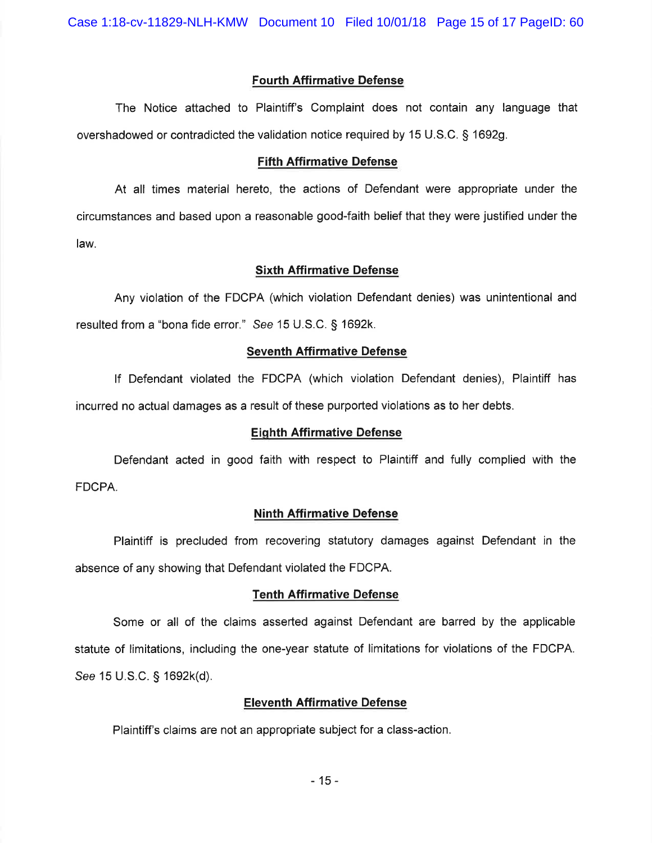Case 1:18-cv-11829-NLH-KMW Document 10 Filed 10/01/18 Page 15 of 17 PageID: 60

#### **Fourth Affirmative Defense**

The Notice attached to Plaintiff's Complaint does not contain any language that overshadowed or contradicted the validation notice required by 15 U.S.C. § 1692g.

#### **Fifth Affirmative Defense**

At all times material hereto, the actions of Defendant were appropriate under the circumstances and based upon a reasonable good-faith belief that they were justified under the law.

## **Sixth Affirmative Defense**

Any violation of the FDCPA (which violation Defendant denies) was unintentional and resulted from a "bona fide error." See 15 U.S.C. § 1692k.

#### **Seventh Affirmative Defense**

If Defendant violated the FDCPA (which violation Defendant denies), Plaintiff has incurred no actual damages as a result of these purported violations as to her debts.

#### **Eighth Affirmative Defense**

Defendant acted in good faith with respect to Plaintiff and fully complied with the FDCPA.

## **Ninth Affirmative Defense**

Plaintiff is precluded from recovering statutory damages against Defendant in the absence of any showing that Defendant violated the FDCPA.

#### **Tenth Affirmative Defense**

Some or all of the claims asserted against Defendant are barred by the applicable statute of limitations, including the one-year statute of limitations for violations of the FDCPA. See 15 U.S.C. § 1692k(d).

## **Eleventh Affirmative Defense**

Plaintiff's claims are not an appropriate subject for a class-action.

 $-15-$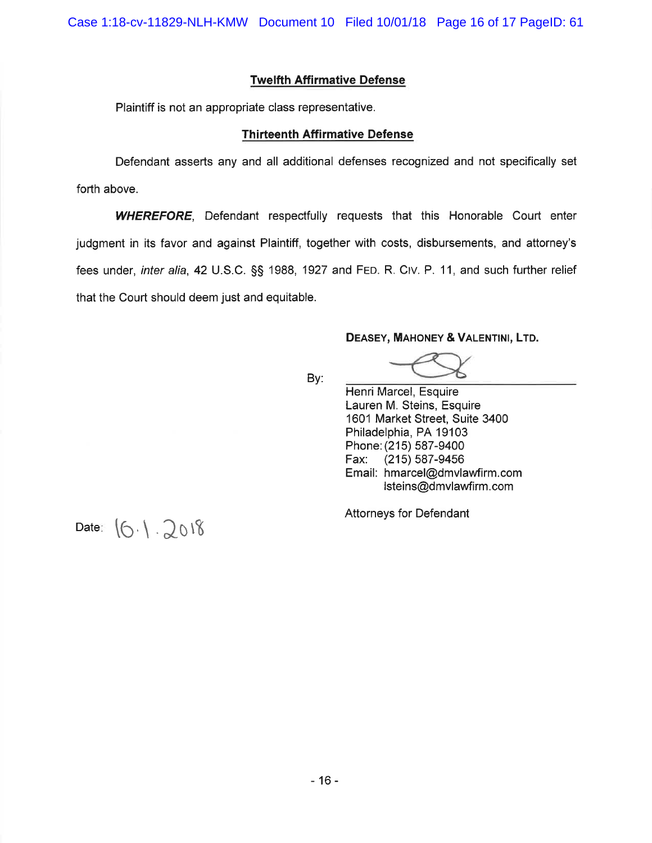## **Twelfth Affirmative Defense**

Plaintiff is not an appropriate class representative.

#### **Thirteenth Affirmative Defense**

Defendant asserts any and all additional defenses recognized and not specifically set forth above.

**WHEREFORE,** Defendant respectfully requests that this Honorable Court enter judgment in its favor and against Plaintiff, together with costs, disbursements, and attorney's fees under, inter alia, 42 U.S.C. §§ 1988, 1927 and FED. R. CIV. P. 11, and such further relief that the Court should deem just and equitable.

#### DEASEY, MAHONEY & VALENTINI, LTD.

By:

Henri Marcel, Esquire Lauren M. Steins, Esquire 1601 Market Street, Suite 3400 Philadelphia, PA 19103 Phone: (215) 587-9400 Fax:  $(215) 587 - 9456$ Email: hmarcel@dmvlawfirm.com Isteins@dmvlawfirm.com

**Attorneys for Defendant** 

Date:  $(6.1.2018)$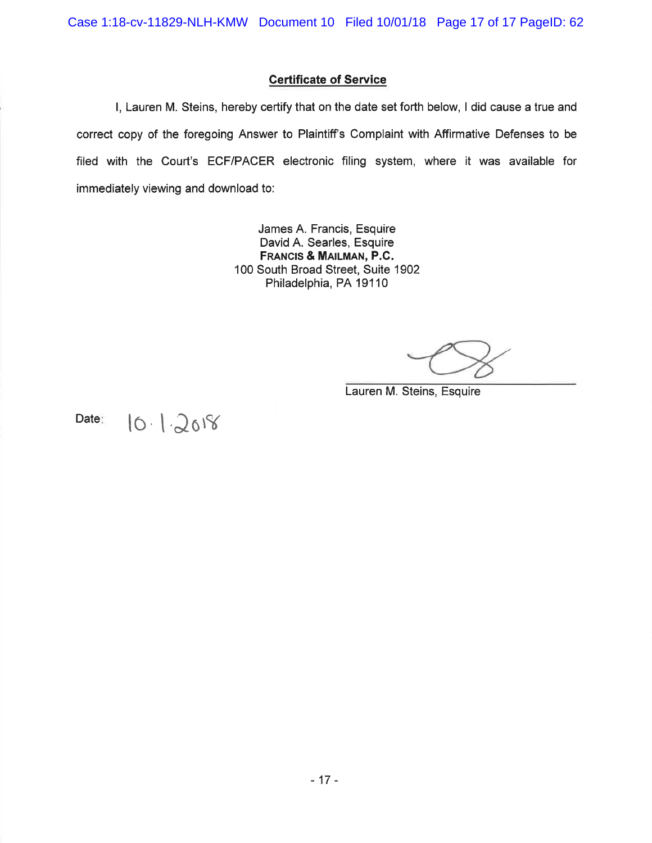## **Certificate of Service**

I, Lauren M. Steins, hereby certify that on the date set forth below, I did cause a true and correct copy of the foregoing Answer to Plaintiff's Complaint with Affirmative Defenses to be filed with the Court's ECF/PACER electronic filing system, where it was available for immediately viewing and download to:

> James A. Francis, Esquire David A. Searles, Esquire FRANCIS & MAILMAN, P.C. 100 South Broad Street, Suite 1902 Philadelphia, PA 19110

Lauren M. Steins, Esquire

Date:

# $10.12018$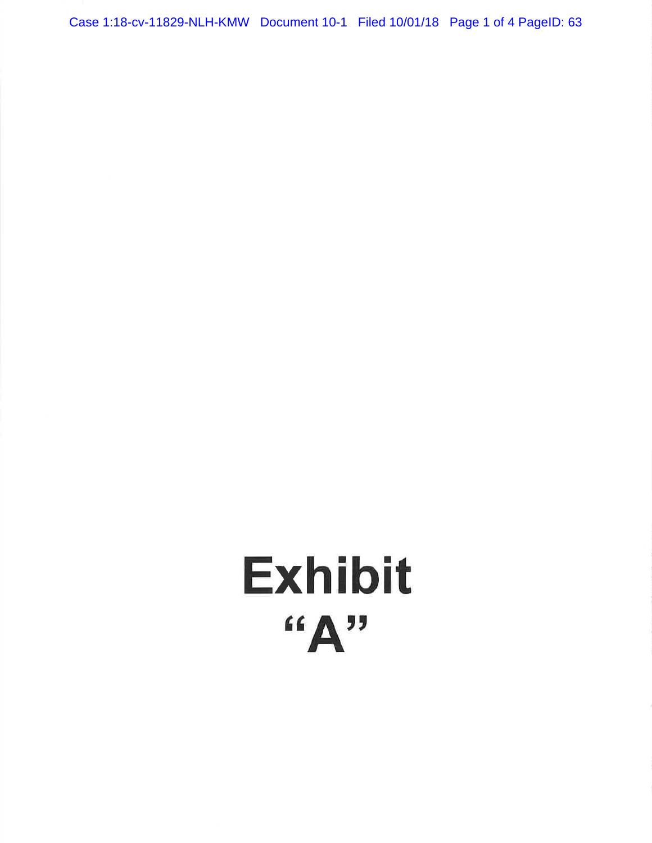Case 1:18-cv-11829-NLH-KMW Document 10-1 Filed 10/01/18 Page 1 of 4 PageID: 63

# **Exhibit**  $\mathbf{H}^{(1)}$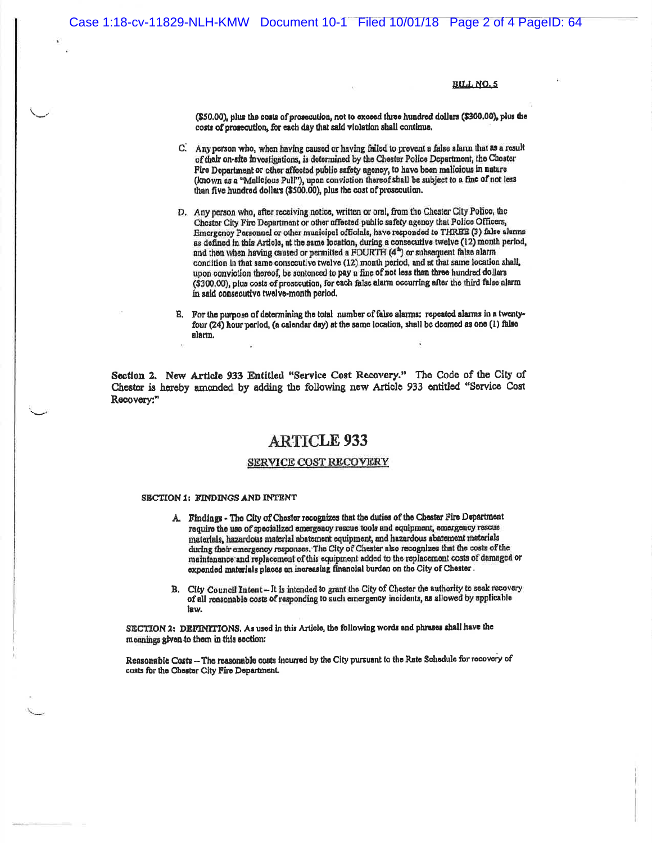#### **BILL NO.5**

(\$50.00), plus the costs of prosecution, not to exceed three hundred dollars (\$300.00), plus the costs of prosecution, for each day that said violation shall continue.

- C. Any person who, when having caused or having failed to provent a false alarm that as a result of their on-site investigations, is dotermined by the Chester Police Department, the Chester Fire Department or other affected public safety agency, to have been malicious in nature (known as a "Malicious Pull"), upon conviction thereof shall be subject to a fine of not less than five hundred dollars (\$500.00), plus the cost of prosecution.
- D. Any person who, after receiving notice, written or oral, from the Chester City Police, the Chester City Fire Department or other affected public safety agency that Police Officers, Emergency Personnel or other municipal officials, have responded to THREE (3) false alarms as defined in this Article, at the same location, during a consecutive twelve (12) month period, and then when having caused or permitted a FOURTH (4<sup>th</sup>) or subsequent false alarm condition in that same consecutive twelve (12) month period, and at that same location shall, upon conviction thereof, be sentenced to pay a fine of not less than three hundred dollars (\$300,00), plus costs of prosecution, for each false alarm occurring after the third false alarm in said consecutive twelve-month period.
- B. For the purpose of determining the total number of false alarms: repeated alarms in a twentyfour (24) hour period, (a calendar day) at the same location, shall be deemed as one (1) false aların.

Section 2. New Article 933 Entitled "Service Cost Recovery." The Code of the City of Chester is hereby amended by adding the following new Article 933 entitled "Service Cost Recovery:"

## **ARTICLE 933**

#### **SERVICE COST RECOVERY**

#### SECTION 1: FINDINGS AND INTENT

- A. Findings The City of Chester recognizes that the duties of the Chester Fire Department require the use of specialized emergency rescue tools and equipment, emergency rescue materials, hazardous material abatement equipment, and hazardous abatement materials during their emergency responses. The City of Chester also recognizes that the costs of the maintenance and replacement of this equipment added to the replacement costs of damaged or expended materials places an increasing financial burden on the City of Chester.
- B. City Council Intent- It is intended to grant the City of Chester the authority to seek recovery of all reasonable costs of responding to such emergency incidents, as allowed by applicable law.

SECTION 2: DEFINITIONS. As used in this Article, the following words and phrases shall have the moanings given to them in this section:

Reasonable Costs -- The reasonable costs incurred by the City pursuant to the Rate Schedule for recovery of costs for the Chester City Fire Department.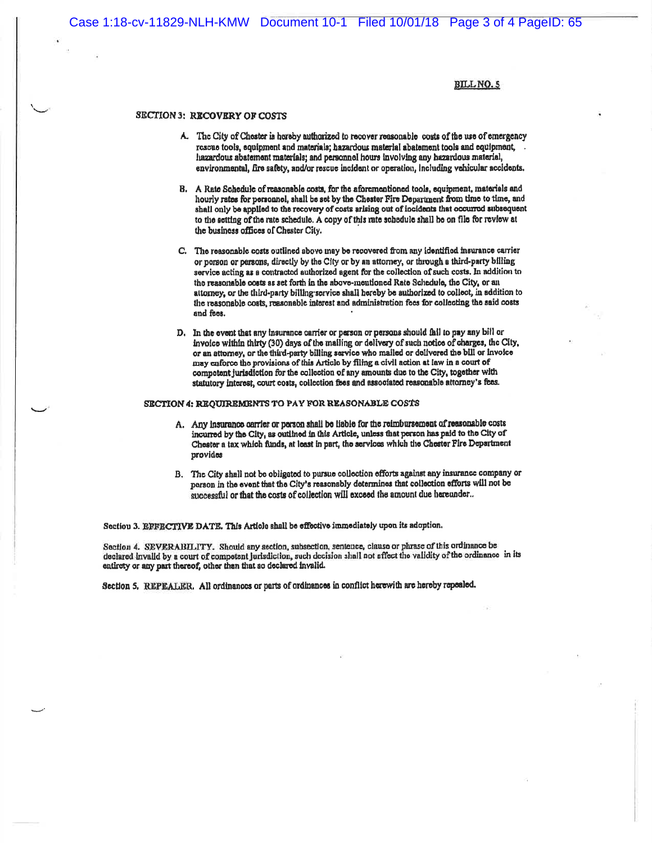Case 1:18-cv-11829-NLH-KMW Document 10-1 Filed 10/01/18 Page 3 of 4 PageID: 65

**BILL NO.5** 

#### **SECTION 3: RECOVERY OF COSTS**

- A. The City of Chester is hereby authorized to recover reasonable costs of the use of emergency rescue tools, equipment and materials; hazardous material abatement tools and equipment, hazardous abatement materials; and personnel hours involving any hazardous material, environmental, fire safety, and/or rescue incident or operation, including vehicular accidents.
- B. A Rate Schedule of reasonable costs, for the aforementioned tools, equipment, materials and hourly rates for personnel, shall be set by the Chester Fire Department from time to time, and shall only be applied to the recovery of costs arising out of incidents that occurred subsequent to the setting of the rate schedule. A copy of this rate schedule shall be on file for review at the business offices of Chester City.
- C. The reasonable costs outlined above may be recovered from any identified insurance carrier or porson or persons, directly by the City or by an attorney, or through a third-party billing service acting as a contracted authorized agent for the collection of such costs. In addition to the reasonable costs as set forth in the above-mentioned Rate Schedule, the City, or an attorney, or the third-party billing service shall hereby be authorized to collect, in addition to the reasonable costs, reasonable interest and administration fees for collecting the said costs and fees.
- D. In the event that any insurance carrier or person or persons should fail to pay any bill or invoice within thirty (30) days of the mailing or delivery of such notice of charges, the City, or an attorney, or the third-party billing service who mailed or delivered the bill or invoice may enforce the provisions of this Article by filing a civil action at law in a court of compotent jurisdiction for the collection of any amounts due to the City, together with statutory interest, court costs, collection fees and associated reasonable attorney's fees.

#### SECTION 4: REQUIREMENTS TO PAY FOR REASONABLE COSTS

- A. Any insurance carrier or person shall be liable for the reimbursement of reasonable costs incurred by the City, as outlined in this Article, unless that person has paid to the City of Chester a tax which funds, at least in part, the services which the Chester Fire Department provides
- B. The City shall not be obligated to pursue collection efforts against any insurance company or person in the event that the City's reasonably determines that collection efforts will not be successful or that the costs of collection will exceed the amount due hereunder..

Section 3. EFFECTIVE DATE. This Article shall be effective immediately upon its adoption.

Section 4. SEVERABILITY. Should any section, subsection, sentence, clause or phrase of this ordinance be declared invalid by a court of competent jurisdiction, such decision shall not affect the validity of the ordinance in its entirety or any part thereof, other than that so declared invalid.

Section 5. REPEALER. All ordinances or parts of ordinances in conflict herewith are hereby repealed.